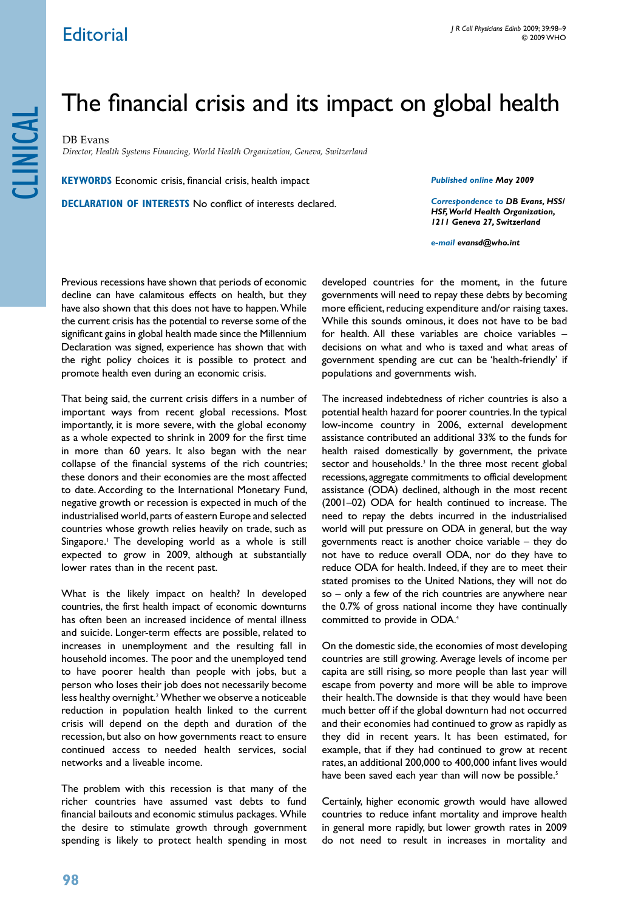## **Editorial**

## The financial crisis and its impact on global health

DB Evans

*Director, Health Systems Financing, World Health Organization, Geneva, Switzerland*

**KEYWORDS** Economic crisis, financial crisis, health impact

**DECLARATION OF INTERESTS** No conflict of interests declared.

*Published online May 2009* 

*Correspondence to DB Evans, HSS/ HSF, World Health Organization, 1211 Geneva 27, Switzerland*

*e-mail evansd@who.int* 

Previous recessions have shown that periods of economic decline can have calamitous effects on health, but they have also shown that this does not have to happen. While the current crisis has the potential to reverse some of the significant gains in global health made since the Millennium Declaration was signed, experience has shown that with the right policy choices it is possible to protect and promote health even during an economic crisis.

That being said, the current crisis differs in a number of important ways from recent global recessions. Most importantly, it is more severe, with the global economy as a whole expected to shrink in 2009 for the first time in more than 60 years. It also began with the near collapse of the financial systems of the rich countries; these donors and their economies are the most affected to date. According to the International Monetary Fund, negative growth or recession is expected in much of the industrialised world, parts of eastern Europe and selected countries whose growth relies heavily on trade, such as Singapore.<sup>1</sup> The developing world as a whole is still expected to grow in 2009, although at substantially lower rates than in the recent past.

What is the likely impact on health? In developed countries, the first health impact of economic downturns has often been an increased incidence of mental illness and suicide. Longer-term effects are possible, related to increases in unemployment and the resulting fall in household incomes. The poor and the unemployed tend to have poorer health than people with jobs, but a person who loses their job does not necessarily become less healthy overnight.<sup>2</sup> Whether we observe a noticeable reduction in population health linked to the current crisis will depend on the depth and duration of the recession, but also on how governments react to ensure continued access to needed health services, social networks and a liveable income.

The problem with this recession is that many of the richer countries have assumed vast debts to fund financial bailouts and economic stimulus packages. While the desire to stimulate growth through government spending is likely to protect health spending in most

developed countries for the moment, in the future governments will need to repay these debts by becoming more efficient, reducing expenditure and/or raising taxes. While this sounds ominous, it does not have to be bad for health. All these variables are choice variables – decisions on what and who is taxed and what areas of government spending are cut can be 'health-friendly' if populations and governments wish.

The increased indebtedness of richer countries is also a potential health hazard for poorer countries. In the typical low-income country in 2006, external development assistance contributed an additional 33% to the funds for health raised domestically by government, the private sector and households.<sup>3</sup> In the three most recent global recessions, aggregate commitments to official development assistance (ODA) declined, although in the most recent (2001–02) ODA for health continued to increase. The need to repay the debts incurred in the industrialised world will put pressure on ODA in general, but the way governments react is another choice variable – they do not have to reduce overall ODA, nor do they have to reduce ODA for health. Indeed, if they are to meet their stated promises to the United Nations, they will not do so – only a few of the rich countries are anywhere near the 0.7% of gross national income they have continually committed to provide in ODA.<sup>4</sup>

On the domestic side, the economies of most developing countries are still growing. Average levels of income per capita are still rising, so more people than last year will escape from poverty and more will be able to improve their health. The downside is that they would have been much better off if the global downturn had not occurred and their economies had continued to grow as rapidly as they did in recent years. It has been estimated, for example, that if they had continued to grow at recent rates, an additional 200,000 to 400,000 infant lives would have been saved each year than will now be possible.<sup>5</sup>

Certainly, higher economic growth would have allowed countries to reduce infant mortality and improve health in general more rapidly, but lower growth rates in 2009 do not need to result in increases in mortality and